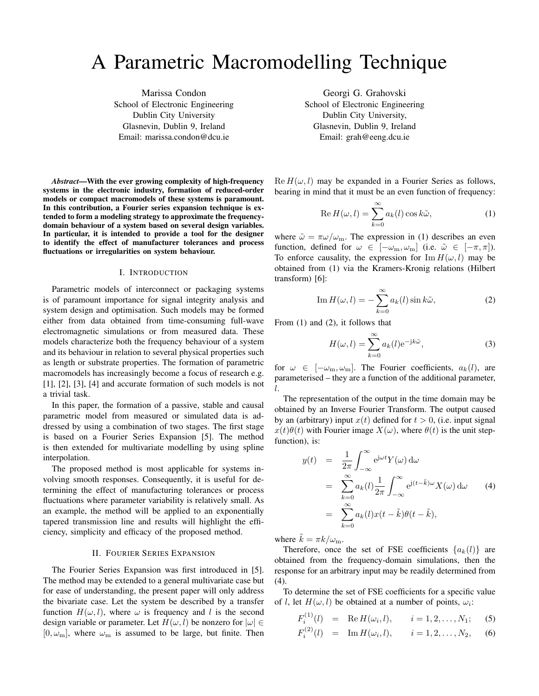# A Parametric Macromodelling Technique

Marissa Condon School of Electronic Engineering Dublin City University Glasnevin, Dublin 9, Ireland Email: marissa.condon@dcu.ie

*Abstract***—With the ever growing complexity of high-frequency systems in the electronic industry, formation of reduced-order models or compact macromodels of these systems is paramount. In this contribution, a Fourier series expansion technique is extended to form a modeling strategy to approximate the frequencydomain behaviour of a system based on several design variables. In particular, it is intended to provide a tool for the designer to identify the effect of manufacturer tolerances and process fluctuations or irregularities on system behaviour.**

#### I. INTRODUCTION

Parametric models of interconnect or packaging systems is of paramount importance for signal integrity analysis and system design and optimisation. Such models may be formed either from data obtained from time-consuming full-wave electromagnetic simulations or from measured data. These models characterize both the frequency behaviour of a system and its behaviour in relation to several physical properties such as length or substrate properties. The formation of parametric macromodels has increasingly become a focus of research e.g. [1], [2], [3], [4] and accurate formation of such models is not a trivial task.

In this paper, the formation of a passive, stable and causal parametric model from measured or simulated data is addressed by using a combination of two stages. The first stage is based on a Fourier Series Expansion [5]. The method is then extended for multivariate modelling by using spline interpolation.

The proposed method is most applicable for systems involving smooth responses. Consequently, it is useful for determining the effect of manufacturing tolerances or process fluctuations where parameter variability is relatively small. As an example, the method will be applied to an exponentially tapered transmission line and results will highlight the efficiency, simplicity and efficacy of the proposed method.

### II. FOURIER SERIES EXPANSION

The Fourier Series Expansion was first introduced in [5]. The method may be extended to a general multivariate case but for ease of understanding, the present paper will only address the bivariate case. Let the system be described by a transfer function  $H(\omega, l)$ , where  $\omega$  is frequency and l is the second design variable or parameter. Let  $H(\omega, l)$  be nonzero for  $|\omega| \in$  $[0, \omega_{\text{m}}]$ , where  $\omega_{\text{m}}$  is assumed to be large, but finite. Then

Georgi G. Grahovski School of Electronic Engineering Dublin City University, Glasnevin, Dublin 9, Ireland Email: grah@eeng.dcu.ie

 $\text{Re } H(\omega, l)$  may be expanded in a Fourier Series as follows, bearing in mind that it must be an even function of frequency:

$$
\operatorname{Re} H(\omega, l) = \sum_{k=0}^{\infty} a_k(l) \cos k\tilde{\omega},\tag{1}
$$

where  $\tilde{\omega} = \pi \omega / \omega_{\text{m}}$ . The expression in (1) describes an even function, defined for  $\omega \in [-\omega_m, \omega_m]$  (i.e.  $\tilde{\omega} \in [-\pi, \pi]$ ). To enforce causality, the expression for  $\text{Im } H(\omega, l)$  may be obtained from (1) via the Kramers-Kronig relations (Hilbert transform) [6]:

Im 
$$
H(\omega, l) = -\sum_{k=0}^{\infty} a_k(l) \sin k\tilde{\omega},
$$
 (2)

From (1) and (2), it follows that

$$
H(\omega, l) = \sum_{k=0}^{\infty} a_k(l) e^{-jk\tilde{\omega}},
$$
 (3)

for  $\omega \in [-\omega_m, \omega_m]$ . The Fourier coefficients,  $a_k(l)$ , are parameterised – they are a function of the additional parameter, l.

The representation of the output in the time domain may be obtained by an Inverse Fourier Transform. The output caused by an (arbitrary) input  $x(t)$  defined for  $t > 0$ , (i.e. input signal  $x(t)\theta(t)$  with Fourier image  $X(\omega)$ , where  $\theta(t)$  is the unit stepfunction), is:

$$
y(t) = \frac{1}{2\pi} \int_{-\infty}^{\infty} e^{j\omega t} Y(\omega) d\omega
$$
  
\n
$$
= \sum_{k=0}^{\infty} a_k(l) \frac{1}{2\pi} \int_{-\infty}^{\infty} e^{j(t-\tilde{k})\omega} X(\omega) d\omega
$$
 (4)  
\n
$$
= \sum_{k=0}^{\infty} a_k(l) x(t-\tilde{k}) \theta(t-\tilde{k}),
$$

where  $\tilde{k} = \pi k / \omega_{\text{m}}$ .

Therefore, once the set of FSE coefficients  $\{a_k(l)\}\$ are obtained from the frequency-domain simulations, then the response for an arbitrary input may be readily determined from (4).

To determine the set of FSE coefficients for a specific value of l, let  $H(\omega, l)$  be obtained at a number of points,  $\omega_i$ :

$$
F_i^{(1)}(l) = \text{Re } H(\omega_i, l), \qquad i = 1, 2, \dots, N_1; \quad (5)
$$

$$
F_i^{(2)}(l) = \operatorname{Im} H(\omega_i, l), \qquad i = 1, 2, \dots, N_2, \qquad (6)
$$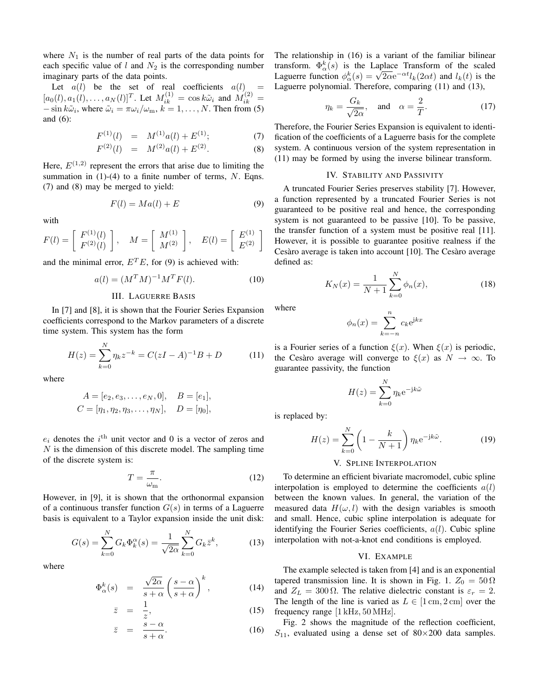where  $N_1$  is the number of real parts of the data points for each specific value of  $l$  and  $N_2$  is the corresponding number imaginary parts of the data points.

Let  $a(l)$  be the set of real coefficients  $a(l)$  $[a_0(l), a_1(l),..., a_N(l)]^T$ . Let  $M_{ik}^{(1)} = \cos k\tilde{\omega}_i$  and  $M_{ik}^{(2)} =$  $-\sin k\tilde{\omega}_i$ , where  $\tilde{\omega}_i = \pi \omega_i / \omega_m$ ,  $k = 1, \ldots, N$ . Then from (5) and (6):

$$
F^{(1)}(l) = M^{(1)}a(l) + E^{(1)};
$$
\n(7)

$$
F^{(2)}(l) = M^{(2)}a(l) + E^{(2)}.
$$
 (8)

Here,  $E^{(1,2)}$  represent the errors that arise due to limiting the summation in  $(1)-(4)$  to a finite number of terms, N. Eqns. (7) and (8) may be merged to yield:

$$
F(l) = Ma(l) + E \tag{9}
$$

with

$$
F(l) = \left[ \begin{array}{c} F^{(1)}(l) \\ F^{(2)}(l) \end{array} \right], \quad M = \left[ \begin{array}{c} M^{(1)} \\ M^{(2)} \end{array} \right], \quad E(l) = \left[ \begin{array}{c} E^{(1)} \\ E^{(2)} \end{array} \right]
$$

and the minimal error,  $E^T E$ , for (9) is achieved with:

$$
a(l) = (M^T M)^{-1} M^T F(l). \tag{10}
$$

## III. LAGUERRE BASIS

In [7] and [8], it is shown that the Fourier Series Expansion coefficients correspond to the Markov parameters of a discrete time system. This system has the form

$$
H(z) = \sum_{k=0}^{N} \eta_k z^{-k} = C(zI - A)^{-1}B + D \tag{11}
$$

where

$$
A = [e_2, e_3, \dots, e_N, 0], \quad B = [e_1],
$$
  

$$
C = [\eta_1, \eta_2, \eta_3, \dots, \eta_N], \quad D = [\eta_0],
$$

 $e_i$  denotes the  $i^{\text{th}}$  unit vector and 0 is a vector of zeros and  $N$  is the dimension of this discrete model. The sampling time of the discrete system is:

$$
T = \frac{\pi}{\omega_{\rm m}}.\tag{12}
$$

However, in [9], it is shown that the orthonormal expansion of a continuous transfer function  $G(s)$  in terms of a Laguerre basis is equivalent to a Taylor expansion inside the unit disk:

$$
G(s) = \sum_{k=0}^{N} G_k \Phi_k^{\alpha}(s) = \frac{1}{\sqrt{2\alpha}} \sum_{k=0}^{N} G_k \bar{z}^k,
$$
 (13)

where

$$
\Phi_{\alpha}^{k}(s) = \frac{\sqrt{2\alpha}}{s+\alpha} \left(\frac{s-\alpha}{s+\alpha}\right)^{k}, \quad (14)
$$

$$
\bar{z} = \frac{1}{z},\tag{15}
$$

$$
\bar{z} = \frac{s - \alpha}{s + \alpha}.\tag{16}
$$

The relationship in (16) is a variant of the familiar bilinear transform.  $\Phi_{\alpha}^{k}(s)$  is the Laplace Transform of the scaled Transform.  $\Psi_{\alpha}^{*}(s)$  is the Laplace Transform of the scaled<br>Laguerre function  $\phi_{\alpha}^{k}(s) = \sqrt{2\alpha}e^{-\alpha t}l_{k}(2\alpha t)$  and  $l_{k}(t)$  is the Laguerre polynomial. Therefore, comparing (11) and (13),

$$
\eta_k = \frac{G_k}{\sqrt{2\alpha}}, \quad \text{and} \quad \alpha = \frac{2}{T}.\tag{17}
$$

Therefore, the Fourier Series Expansion is equivalent to identification of the coefficients of a Laguerre basis for the complete system. A continuous version of the system representation in (11) may be formed by using the inverse bilinear transform.

## IV. STABILITY AND PASSIVITY

A truncated Fourier Series preserves stability [7]. However, a function represented by a truncated Fourier Series is not guaranteed to be positive real and hence, the corresponding system is not guaranteed to be passive [10]. To be passive, the transfer function of a system must be positive real [11]. However, it is possible to guarantee positive realness if the Cesàro average is taken into account  $[10]$ . The Cesàro average defined as:

$$
K_N(x) = \frac{1}{N+1} \sum_{k=0}^{N} \phi_n(x),
$$
\n(18)

where

$$
\phi_n(x) = \sum_{k=-n}^n c_k e^{jkx}
$$

is a Fourier series of a function  $\xi(x)$ . When  $\xi(x)$  is periodic, the Cesaro average will converge to  $\xi(x)$  as  $N \to \infty$ . To guarantee passivity, the function

$$
H(z) = \sum_{k=0}^{N} \eta_k e^{-jk\tilde{\omega}}
$$

is replaced by:

$$
H(z) = \sum_{k=0}^{N} \left(1 - \frac{k}{N+1}\right) \eta_k e^{-jk\tilde{\omega}}.
$$
 (19)

## V. SPLINE INTERPOLATION

To determine an efficient bivariate macromodel, cubic spline interpolation is employed to determine the coefficients  $a(l)$ between the known values. In general, the variation of the measured data  $H(\omega, l)$  with the design variables is smooth and small. Hence, cubic spline interpolation is adequate for identifying the Fourier Series coefficients,  $a(l)$ . Cubic spline interpolation with not-a-knot end conditions is employed.

# VI. EXAMPLE

The example selected is taken from [4] and is an exponential tapered transmission line. It is shown in Fig. 1.  $Z_0 = 50 \Omega$ and  $Z_L = 300 \Omega$ . The relative dielectric constant is  $\varepsilon_r = 2$ . The length of the line is varied as  $L \in [1 \text{ cm}, 2 \text{ cm}]$  over the frequency range [1 kHz, 50 MHz].

Fig. 2 shows the magnitude of the reflection coefficient,  $S_{11}$ , evaluated using a dense set of 80×200 data samples.